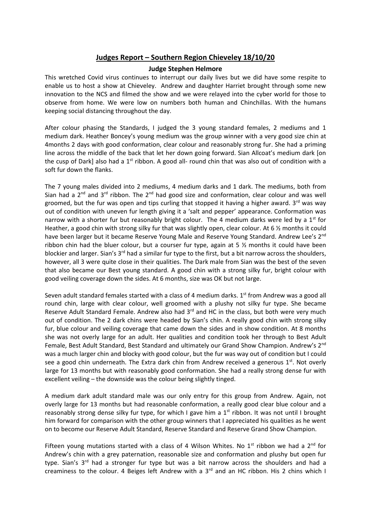## **Judges Report – Southern Region Chieveley 18/10/20**

## **Judge Stephen Helmore**

This wretched Covid virus continues to interrupt our daily lives but we did have some respite to enable us to host a show at Chieveley. Andrew and daughter Harriet brought through some new innovation to the NCS and filmed the show and we were relayed into the cyber world for those to observe from home. We were low on numbers both human and Chinchillas. With the humans keeping social distancing throughout the day.

After colour phasing the Standards, I judged the 3 young standard females, 2 mediums and 1 medium dark. Heather Boncey's young medium was the group winner with a very good size chin at 4months 2 days with good conformation, clear colour and reasonably strong fur. She had a priming line across the middle of the back that let her down going forward. Sian Allcoat's medium dark [on the cusp of Dark] also had a  $1<sup>st</sup>$  ribbon. A good all- round chin that was also out of condition with a soft fur down the flanks.

The 7 young males divided into 2 mediums, 4 medium darks and 1 dark. The mediums, both from Sian had a  $2^{nd}$  and  $3^{rd}$  ribbon. The  $2^{nd}$  had good size and conformation, clear colour and was well groomed, but the fur was open and tips curling that stopped it having a higher award.  $3<sup>rd</sup>$  was way out of condition with uneven fur length giving it a 'salt and pepper' appearance. Conformation was narrow with a shorter fur but reasonably bright colour. The 4 medium darks were led by a  $1<sup>st</sup>$  for Heather, a good chin with strong silky fur that was slightly open, clear colour. At 6 % months it could have been larger but it became Reserve Young Male and Reserve Young Standard. Andrew Lee's 2<sup>nd</sup> ribbon chin had the bluer colour, but a courser fur type, again at 5  $\frac{1}{2}$  months it could have been blockier and larger. Sian's 3<sup>rd</sup> had a similar fur type to the first, but a bit narrow across the shoulders, however, all 3 were quite close in their qualities. The Dark male from Sian was the best of the seven that also became our Best young standard. A good chin with a strong silky fur, bright colour with good veiling coverage down the sides. At 6 months, size was OK but not large.

Seven adult standard females started with a class of 4 medium darks. 1<sup>st</sup> from Andrew was a good all round chin, large with clear colour, well groomed with a plushy not silky fur type. She became Reserve Adult Standard Female. Andrew also had 3<sup>rd</sup> and HC in the class, but both were very much out of condition. The 2 dark chins were headed by Sian's chin. A really good chin with strong silky fur, blue colour and veiling coverage that came down the sides and in show condition. At 8 months she was not overly large for an adult. Her qualities and condition took her through to Best Adult Female, Best Adult Standard, Best Standard and ultimately our Grand Show Champion. Andrew's 2<sup>nd</sup> was a much larger chin and blocky with good colour, but the fur was way out of condition but I could see a good chin underneath. The Extra dark chin from Andrew received a generous  $1<sup>st</sup>$ . Not overly large for 13 months but with reasonably good conformation. She had a really strong dense fur with excellent veiling – the downside was the colour being slightly tinged.

A medium dark adult standard male was our only entry for this group from Andrew. Again, not overly large for 13 months but had reasonable conformation, a really good clear blue colour and a reasonably strong dense silky fur type, for which I gave him a  $1<sup>st</sup>$  ribbon. It was not until I brought him forward for comparison with the other group winners that I appreciated his qualities as he went on to become our Reserve Adult Standard, Reserve Standard and Reserve Grand Show Champion.

Fifteen young mutations started with a class of 4 Wilson Whites. No 1<sup>st</sup> ribbon we had a 2<sup>nd</sup> for Andrew's chin with a grey paternation, reasonable size and conformation and plushy but open fur type. Sian's 3<sup>rd</sup> had a stronger fur type but was a bit narrow across the shoulders and had a creaminess to the colour. 4 Beiges left Andrew with a  $3<sup>rd</sup>$  and an HC ribbon. His 2 chins which I